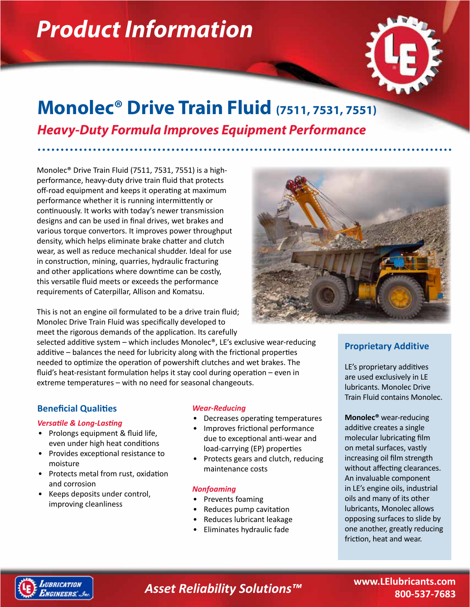# *Product Information*



# **Monolec® Drive Train Fluid (7511, 7531, 7551)** *Heavy-Duty Formula Improves Equipment Performance*

Monolec® Drive Train Fluid (7511, 7531, 7551) is a highperformance, heavy-duty drive train fluid that protects off-road equipment and keeps it operating at maximum performance whether it is running intermittently or continuously. It works with today's newer transmission designs and can be used in final drives, wet brakes and various torque convertors. It improves power throughput density, which helps eliminate brake chatter and clutch wear, as well as reduce mechanical shudder. Ideal for use in construction, mining, quarries, hydraulic fracturing and other applications where downtime can be costly, this versatile fluid meets or exceeds the performance requirements of Caterpillar, Allison and Komatsu.

This is not an engine oil formulated to be a drive train fluid; Monolec Drive Train Fluid was specifically developed to meet the rigorous demands of the application. Its carefully

selected additive system – which includes Monolec®, LE's exclusive wear-reducing additive – balances the need for lubricity along with the frictional properties needed to optimize the operation of powershift clutches and wet brakes. The fluid's heat-resistant formulation helps it stay cool during operation – even in extreme temperatures – with no need for seasonal changeouts.

# **Beneficial Qualities**

### *Versatile & Long-Lasting*

- Prolongs equipment & fluid life, even under high heat conditions
- Provides exceptional resistance to moisture
- Protects metal from rust, oxidation and corrosion
- Keeps deposits under control, improving cleanliness

### *Wear-Reducing*

- Decreases operating temperatures
- Improves frictional performance due to exceptional anti-wear and load-carrying (EP) properties
- Protects gears and clutch, reducing maintenance costs

## *Nonfoaming*

- Prevents foaming
- Reduces pump cavitation
- Reduces lubricant leakage
- Eliminates hydraulic fade



# **Proprietary Additive**

LE's proprietary additives are used exclusively in LE lubricants. Monolec Drive Train Fluid contains Monolec.

**Monolec®** wear-reducing additive creates a single molecular lubricating film on metal surfaces, vastly increasing oil film strength without affecting clearances. An invaluable component in LE's engine oils, industrial oils and many of its other lubricants, Monolec allows opposing surfaces to slide by one another, greatly reducing friction, heat and wear.



*Asset Reliability Solutions™*

**www.LElubricants.com 800-537-7683**